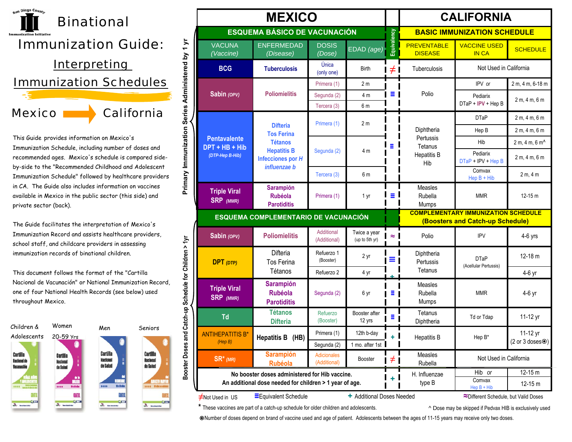

This Guide provides information on Mexico's Immunization Schedule, including number of doses and recommended ages. Mexico's schedule is compared sideby-side to the "Recommended Childhood and Adolescent Immunization Schedule" followed by healthcare providers in CA. The Guide also includes information on vaccines available in Mexico in the public sector (this side) and private sector (back).

The Guide facilitates the interpretation of Mexico's Immunization Record and assists healthcare providers, school staff, and childcare providers in assessing immunization records of binational children.

This document follows the format of the "Cartilla Nacional de Vacunación" or National Immunization Record, one of four National Health Records (see below) used throughout Mexico.



| <b>MEXICO</b>                                                                                                                                   |                                                          |                                     |                                |             | <b>CALIFORNIA</b>                                               |                                       |                            |  |
|-------------------------------------------------------------------------------------------------------------------------------------------------|----------------------------------------------------------|-------------------------------------|--------------------------------|-------------|-----------------------------------------------------------------|---------------------------------------|----------------------------|--|
|                                                                                                                                                 |                                                          | <b>ESQUEMA BÁSICO DE VACUNACIÓN</b> |                                |             |                                                                 | <b>BASIC IMMUNIZATION SCHEDULE</b>    |                            |  |
| <b>VACUNA</b><br>(Vaccine)                                                                                                                      | <b>ENFERMEDAD</b><br>(Disease)                           | <b>DOSIS</b><br>(Dose)              | EDAD (age)                     | Equivalency | <b>PREVENTABLE</b><br><b>DISEASE</b>                            | <b>VACCINE USED</b><br><b>IN CA</b>   | <b>SCHEDULE</b>            |  |
| <b>BCG</b>                                                                                                                                      | <b>Tuberculosis</b>                                      | Única<br>(only one)                 | <b>Birth</b>                   | $\neq$      | Tuberculosis                                                    | Not Used in California                |                            |  |
|                                                                                                                                                 |                                                          | Primera (1)                         | 2 <sub>m</sub>                 |             |                                                                 | IPV or                                | 2 m, 4 m, 6-18 m           |  |
| Sabin (OPV)                                                                                                                                     | <b>Poliomielitis</b>                                     | Segunda (2)<br>Tercera (3)          | 4 m<br>6 <sub>m</sub>          | $\equiv$ 1  | Polio                                                           | Pediarix<br>DTaP + IPV + Hep B        | 2 m, 4 m, 6 m              |  |
|                                                                                                                                                 |                                                          |                                     |                                |             |                                                                 | <b>DTaP</b>                           | 2 m, 4 m, 6 m              |  |
|                                                                                                                                                 | <b>Difteria</b><br><b>Tos Ferina</b>                     | Primera (1)                         | 2 <sub>m</sub>                 | Ξ           | Diphtheria<br>Pertussis<br>Tetanus<br><b>Hepatitis B</b><br>Hib | Hep B                                 | 2 m, 4 m, 6 m              |  |
| <b>Pentavalente</b>                                                                                                                             | <b>Tétanos</b>                                           |                                     | 4 m                            |             |                                                                 | Hib                                   | 2 m, 4 m, 6 m <sup>4</sup> |  |
| DPT + HB + Hib<br>(DTP-Hep B-Hib)                                                                                                               | <b>Hepatitis B</b><br>Infecciones por $H$                | Segunda (2)                         |                                |             |                                                                 | Pediarix<br>DTaP + IPV + Hep B        | 2 m, 4 m, 6 m              |  |
|                                                                                                                                                 | influenzae b                                             | Tercera (3)                         | 6 m                            |             |                                                                 | Comvax<br>$\text{Hep B} + \text{Hib}$ | 2 m, 4 m                   |  |
| <b>Triple Viral</b><br><b>SRP</b> (MMR)                                                                                                         | <b>Sarampión</b><br><b>Rubéola</b><br><b>Parotiditis</b> | Primera (1)                         | 1 yr                           | Ξ           | Measles<br>Rubella<br>Mumps                                     | <b>MMR</b>                            | $12 - 15$ m                |  |
| ESQUEMA COMPLEMENTARIO DE VACUNACIÓN                                                                                                            |                                                          |                                     |                                |             | <b>COMPLEMENTARY IMMUNIZATION SCHEDULE</b>                      |                                       |                            |  |
|                                                                                                                                                 |                                                          |                                     |                                |             | (Boosters and Catch-up Schedule)                                |                                       |                            |  |
| Sabin (OPV)                                                                                                                                     | <b>Poliomielitis</b>                                     | Additional<br>(Additional)          | Twice a year<br>(up to 5th yr) | $\approx$   | Polio                                                           | <b>IPV</b>                            | $4-6$ yrs                  |  |
| $DPT$ (DTP)                                                                                                                                     | Difteria<br><b>Tos Ferina</b>                            | Refuerzo 1<br>(Booster)             | 2 yr                           | Ξ,          | Diphtheria<br>Pertussis                                         | <b>DTaP</b><br>(Acellular Pertussis)  | $12 - 18$ m                |  |
|                                                                                                                                                 | Tétanos                                                  | Refuerzo 2                          | 4 yr                           |             | Tetanus                                                         |                                       | 4-6 yr                     |  |
| <b>Triple Viral</b><br><b>SRP</b> (MMR)                                                                                                         | <b>Sarampión</b><br><b>Rubéola</b><br><b>Parotiditis</b> | Segunda (2)                         | 6 yr                           | Ξ           | Measles<br>Rubella<br>Mumps                                     | <b>MMR</b>                            | 4-6 yr                     |  |
| Td                                                                                                                                              | <b>Tétanos</b><br><b>Difteria</b>                        | Refuerzo<br>(Booster)               | Booster after<br>12 yrs        | Ξ           | Tetanus<br>Diphtheria                                           | Td or Tdap                            | 11-12 yr                   |  |
| <b>ANTIHEPATITIS B</b><br>(Hep B)                                                                                                               | Hepatitis B (HB)                                         | Primera (1)                         | 12th b-day                     | $+1$        | <b>Hepatitis B</b>                                              | Hep B*                                | 11-12 yr<br>(2 or 3 doses) |  |
|                                                                                                                                                 |                                                          | Segunda (2)                         | 1 mo. after 1st                |             |                                                                 |                                       |                            |  |
| $SR^*$ (MR)                                                                                                                                     | <b>Sarampión</b><br><b>Rubéola</b>                       | Adicionales<br>(Additional)         | Booster                        | l ≠ I       | Measles<br>Rubella                                              | Not Used in California                |                            |  |
|                                                                                                                                                 | No booster doses administered for Hib vaccine.           |                                     |                                |             | H. Influenzae                                                   | Hib or                                | 12-15 m                    |  |
|                                                                                                                                                 | An additional dose needed for children > 1 year of age.  |                                     |                                |             | type B                                                          | Comvax<br>$\text{Hep B} + \text{Hib}$ | 12-15 m                    |  |
| Equivalent Schedule<br>+ Additional Doses Needed<br>≈Different Schedule, but Valid Doses<br><b>≠Not Used in US</b>                              |                                                          |                                     |                                |             |                                                                 |                                       |                            |  |
| * These vaccines are part of a catch-up schedule for older children and adolescents.<br>^ Dose may be skipped if Pedvax HIB is exclusively used |                                                          |                                     |                                |             |                                                                 |                                       |                            |  |

Number of doses depend on brand of vaccine used and age of patient. Adolescents between the ages of 11-15 years may receive only two doses.